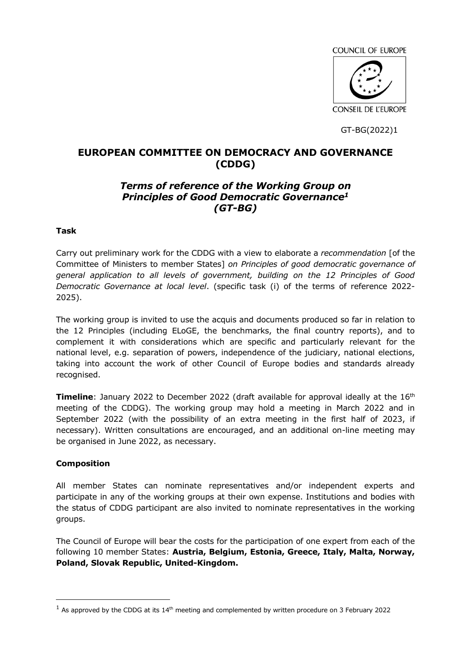COUNCIL OF EUROPE **CONSEIL DE L'EUROPE** 

GT-BG(2022)1

# **EUROPEAN COMMITTEE ON DEMOCRACY AND GOVERNANCE (CDDG)**

# *Terms of reference of the Working Group on Principles of Good Democratic Governance<sup>1</sup> (GT-BG)*

### **Task**

Carry out preliminary work for the CDDG with a view to elaborate a *recommendation* [of the Committee of Ministers to member States] *on Principles of good democratic governance of general application to all levels of government, building on the 12 Principles of Good Democratic Governance at local level*. (specific task (i) of the terms of reference 2022- 2025).

The working group is invited to use the acquis and documents produced so far in relation to the 12 Principles (including ELoGE, the benchmarks, the final country reports), and to complement it with considerations which are specific and particularly relevant for the national level, e.g. separation of powers, independence of the judiciary, national elections, taking into account the work of other Council of Europe bodies and standards already recognised.

**Timeline**: January 2022 to December 2022 (draft available for approval ideally at the 16<sup>th</sup> meeting of the CDDG). The working group may hold a meeting in March 2022 and in September 2022 (with the possibility of an extra meeting in the first half of 2023, if necessary). Written consultations are encouraged, and an additional on-line meeting may be organised in June 2022, as necessary.

#### **Composition**

 $\overline{a}$ 

All member States can nominate representatives and/or independent experts and participate in any of the working groups at their own expense. Institutions and bodies with the status of CDDG participant are also invited to nominate representatives in the working groups.

The Council of Europe will bear the costs for the participation of one expert from each of the following 10 member States: **Austria, Belgium, Estonia, Greece, Italy, Malta, Norway, Poland, Slovak Republic, United-Kingdom.**

<sup>&</sup>lt;sup>1</sup> As approved by the CDDG at its 14<sup>th</sup> meeting and complemented by written procedure on 3 February 2022